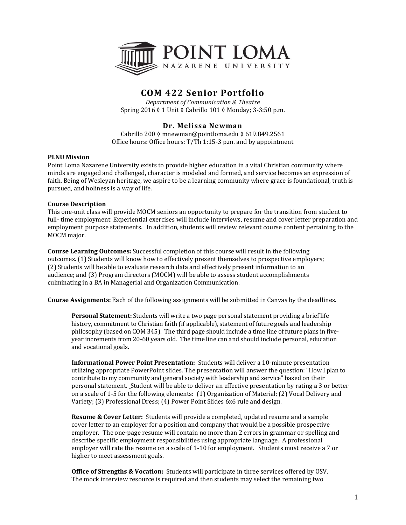

# **COM 422 Senior Portfolio**

*Department of Communication & Theatre* Spring 2016 ◊ 1 Unit ◊ Cabrillo 101 ◊ Monday; 3-3:50 p.m.

# **Dr. Melissa Newman**

Cabrillo 200 ◊ mnewman@pointloma.edu ◊ 619.849.2561 Office hours: Office hours: T/Th 1:15-3 p.m. and by appointment

#### **PLNU Mission**

Point Loma Nazarene University exists to provide higher education in a vital Christian community where minds are engaged and challenged, character is modeled and formed, and service becomes an expression of faith. Being of Wesleyan heritage, we aspire to be a learning community where grace is foundational, truth is pursued, and holiness is a way of life.

### **Course Description**

This one-unit class will provide MOCM seniors an opportunity to prepare for the transition from student to full- time employment. Experiential exercises will include interviews, resume and cover letter preparation and employment purpose statements. In addition, students will review relevant course content pertaining to the MOCM major.

**Course Learning Outcomes:** Successful completion of this course will result in the following outcomes. (1) Students will know how to effectively present themselves to prospective employers; (2) Students will be able to evaluate research data and effectively present information to an audience; and (3) Program directors (MOCM) will be able to assess student accomplishments culminating in a BA in Managerial and Organization Communication.

**Course Assignments:** Each of the following assignments will be submitted in Canvas by the deadlines.

**Personal Statement:** Students will write a two page personal statement providing a brief life history, commitment to Christian faith (if applicable), statement of future goals and leadership philosophy (based on COM 345). The third page should include a time line of future plans in fiveyear increments from 20-60 years old. The time line can and should include personal, education and vocational goals.

**Informational Power Point Presentation:** Students will deliver a 10-minute presentation utilizing appropriate PowerPoint slides. The presentation will answer the question: "How I plan to contribute to my community and general society with leadership and service" based on their personal statement. Student will be able to deliver an effective presentation by rating a 3 or better on a scale of 1-5 for the following elements: (1) Organization of Material; (2) Vocal Delivery and Variety; (3) Professional Dress; (4) Power Point Slides 6x6 rule and design.

**Resume & Cover Letter:** Students will provide a completed, updated resume and a sample cover letter to an employer for a position and company that would be a possible prospective employer. The one-page resume will contain no more than 2 errors in grammar or spelling and describe specific employment responsibilities using appropriate language. A professional employer will rate the resume on a scale of 1-10 for employment. Students must receive a 7 or higher to meet assessment goals.

**Office of Strengths & Vocation:** Students will participate in three services offered by OSV. The mock interview resource is required and then students may select the remaining two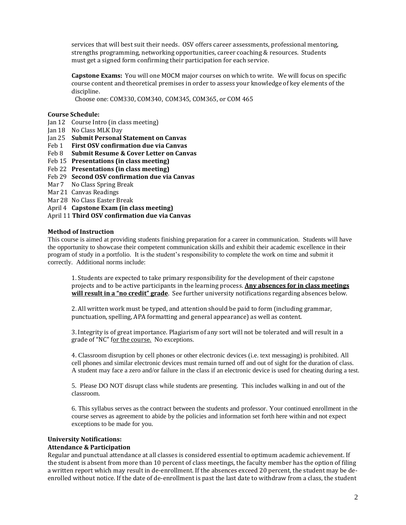services that will best suit their needs. OSV offers career assessments, professional mentoring, strengths programming, networking opportunities, career coaching & resources. Students must get a signed form confirming their participation for each service.

**Capstone Exams:** You will one MOCM major courses on which to write. We will focus on specific course content and theoretical premises in order to assess your knowledge of key elements of the discipline.

Choose one: COM330, COM340, COM345, COM365, or COM 465

# **Course Schedule:**

- Jan 12 Course Intro (in class meeting)
- Jan 18 No Class MLK Day
- Jan 25 **Submit Personal Statement on Canvas**
- Feb 1 **First OSV confirmation due via Canvas**
- Feb 8 **Submit Resume & Cover Letter on Canvas**
- Feb 15 **Presentations (in class meeting)**
- Feb 22 **Presentations (in class meeting)**
- Feb 29 **Second OSV confirmation due via Canvas**
- Mar 7 No Class Spring Break
- Mar 21 Canvas Readings
- Mar 28 No Class Easter Break
- April 4 **Capstone Exam (in class meeting)**
- April 11 **Third OSV confirmation due via Canvas**

### **Method of Instruction**

This course is aimed at providing students finishing preparation for a career in communication. Students will have the opportunity to showcase their competent communication skills and exhibit their academic excellence in their program of study in a portfolio. It is the student's responsibility to complete the work on time and submit it correctly. Additional norms include:

1. Students are expected to take primary responsibility for the development of their capstone projects and to be active participants in the learning process. **Any absences for in class meetings will result in a "no credit" grade**. See further university notifications regarding absences below.

2. All written work must be typed, and attention should be paid to form (including grammar, punctuation, spelling, APA formatting and general appearance) as well as content.

3. Integrity is of great importance. Plagiarism of any sort will not be tolerated and will result in a grade of "NC" for the course. No exceptions.

4. Classroom disruption by cell phones or other electronic devices (i.e. text messaging) is prohibited. All cell phones and similar electronic devices must remain turned off and out of sight for the duration of class. A student may face a zero and/or failure in the class if an electronic device is used for cheating during a test.

5. Please DO NOT disrupt class while students are presenting. This includes walking in and out of the classroom.

6. This syllabus serves as the contract between the students and professor. Your continued enrollment in the course serves as agreement to abide by the policies and information set forth here within and not expect exceptions to be made for you.

### **University Notifications:**

# **Attendance & Participation**

Regular and punctual attendance at all classes is considered essential to optimum academic achievement. If the student is absent from more than 10 percent of class meetings, the faculty member has the option of filing a written report which may result in de-enrollment. If the absences exceed 20 percent, the student may be deenrolled without notice. If the date of de-enrollment is past the last date to withdraw from a class, the student